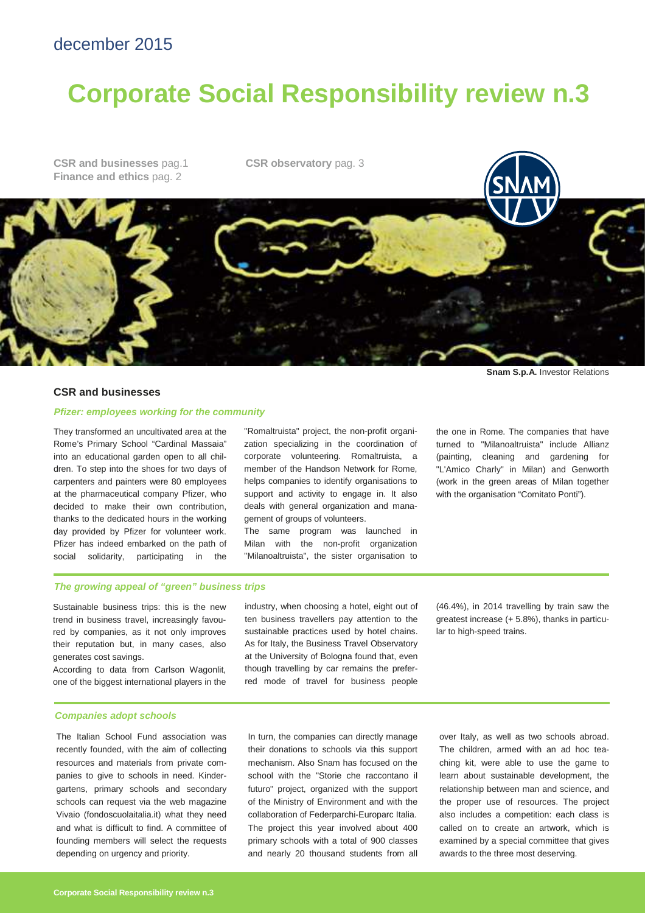# december 2015

# **Corporate Social Responsibility review n.3**

**CSR and businesses** pag.1 **Finance and ethics** pag. 2

**CSR observatory** pag. 3

#### **CSR and businesses**

## **Pfizer: employees working for the community**

They transformed an uncultivated area at the Rome's Primary School "Cardinal Massaia" into an educational garden open to all children. To step into the shoes for two days of carpenters and painters were 80 employees at the pharmaceutical company Pfizer, who decided to make their own contribution, thanks to the dedicated hours in the working day provided by Pfizer for volunteer work. Pfizer has indeed embarked on the path of social solidarity, participating in the "Romaltruista" project, the non-profit organization specializing in the coordination of corporate volunteering. Romaltruista, a member of the Handson Network for Rome, helps companies to identify organisations to support and activity to engage in. It also deals with general organization and management of groups of volunteers.

The same program was launched in Milan with the non-profit organization "Milanoaltruista", the sister organisation to

the one in Rome. The companies that have turned to "Milanoaltruista" include Allianz (painting, cleaning and gardening for "L'Amico Charly" in Milan) and Genworth (work in the green areas of Milan together with the organisation "Comitato Ponti").

**Snam S.p.A.** Investor Relations

# **The growing appeal of "green" business trips**

Sustainable business trips: this is the new trend in business travel, increasingly favoured by companies, as it not only improves their reputation but, in many cases, also generates cost savings.

According to data from Carlson Wagonlit, one of the biggest international players in the

industry, when choosing a hotel, eight out of ten business travellers pay attention to the sustainable practices used by hotel chains. As for Italy, the Business Travel Observatory at the University of Bologna found that, even though travelling by car remains the preferred mode of travel for business people (46.4%), in 2014 travelling by train saw the greatest increase (+ 5.8%), thanks in particular to high-speed trains.

# **Companies adopt schools**

The Italian School Fund association was recently founded, with the aim of collecting resources and materials from private companies to give to schools in need. Kindergartens, primary schools and secondary schools can request via the web magazine Vivaio (fondoscuolaitalia.it) what they need and what is difficult to find. A committee of founding members will select the requests depending on urgency and priority.

In turn, the companies can directly manage their donations to schools via this support mechanism. Also Snam has focused on the school with the "Storie che raccontano il futuro" project, organized with the support of the Ministry of Environment and with the collaboration of Federparchi-Europarc Italia. The project this year involved about 400 primary schools with a total of 900 classes and nearly 20 thousand students from all

over Italy, as well as two schools abroad. The children, armed with an ad hoc teaching kit, were able to use the game to learn about sustainable development, the relationship between man and science, and the proper use of resources. The project also includes a competition: each class is called on to create an artwork, which is examined by a special committee that gives awards to the three most deserving.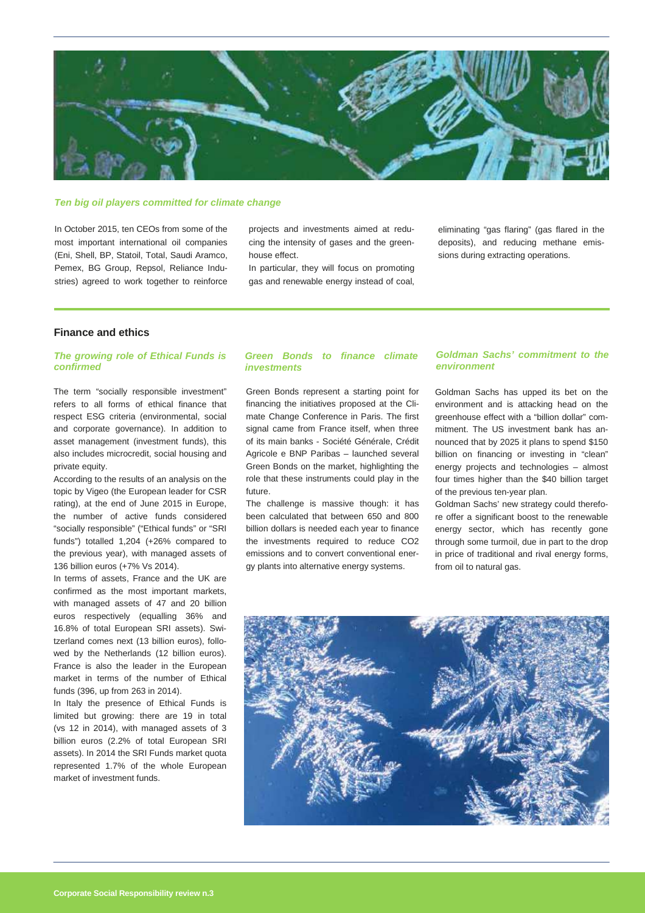

## **Ten big oil players committed for climate change**

In October 2015, ten CEOs from some of the most important international oil companies (Eni, Shell, BP, Statoil, Total, Saudi Aramco, Pemex, BG Group, Repsol, Reliance Industries) agreed to work together to reinforce projects and investments aimed at reducing the intensity of gases and the greenhouse effect.

In particular, they will focus on promoting gas and renewable energy instead of coal, eliminating "gas flaring" (gas flared in the deposits), and reducing methane emissions during extracting operations.

# **Finance and ethics**

# **The growing role of Ethical Funds is confirmed**

The term "socially responsible investment" refers to all forms of ethical finance that respect ESG criteria (environmental, social and corporate governance). In addition to asset management (investment funds), this also includes microcredit, social housing and private equity.

According to the results of an analysis on the topic by Vigeo (the European leader for CSR rating), at the end of June 2015 in Europe, the number of active funds considered "socially responsible" ("Ethical funds" or "SRI funds") totalled 1,204 (+26% compared to the previous year), with managed assets of 136 billion euros (+7% Vs 2014).

In terms of assets, France and the UK are confirmed as the most important markets, with managed assets of 47 and 20 billion euros respectively (equalling 36% and 16.8% of total European SRI assets). Switzerland comes next (13 billion euros), followed by the Netherlands (12 billion euros). France is also the leader in the European market in terms of the number of Ethical funds (396, up from 263 in 2014).

In Italy the presence of Ethical Funds is limited but growing: there are 19 in total (vs 12 in 2014), with managed assets of 3 billion euros (2.2% of total European SRI assets). In 2014 the SRI Funds market quota represented 1.7% of the whole European market of investment funds.

# **Green Bonds to finance climate investments**

Green Bonds represent a starting point for financing the initiatives proposed at the Climate Change Conference in Paris. The first signal came from France itself, when three of its main banks - Société Générale, Crédit Agricole e BNP Paribas – launched several Green Bonds on the market, highlighting the role that these instruments could play in the future.

The challenge is massive though: it has been calculated that between 650 and 800 billion dollars is needed each year to finance the investments required to reduce CO2 emissions and to convert conventional energy plants into alternative energy systems.

# **Goldman Sachs' commitment to the environment**

Goldman Sachs has upped its bet on the environment and is attacking head on the greenhouse effect with a "billion dollar" commitment. The US investment bank has announced that by 2025 it plans to spend \$150 billion on financing or investing in "clean" energy projects and technologies – almost four times higher than the \$40 billion target of the previous ten-year plan.

Goldman Sachs' new strategy could therefore offer a significant boost to the renewable energy sector, which has recently gone through some turmoil, due in part to the drop in price of traditional and rival energy forms, from oil to natural gas.